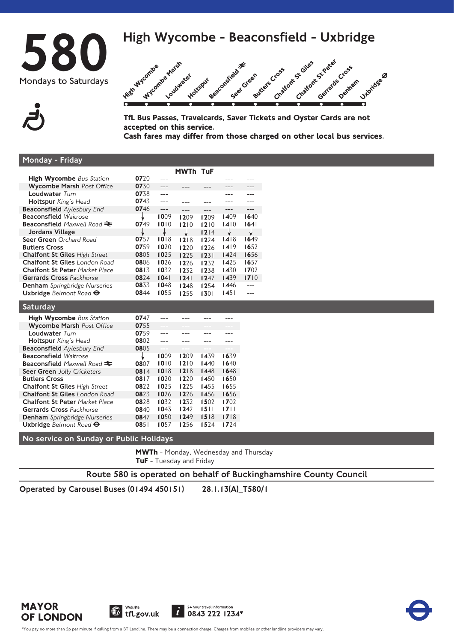# Mondays to Saturdays



**TfL Bus Passes, Travelcards, Saver Tickets and Oyster Cards are not accepted on this service. Cash fares may differ from those charged on other local bus services.** 

| Monday - Friday                           |      |       |                 |      |      |      |
|-------------------------------------------|------|-------|-----------------|------|------|------|
|                                           |      |       | <b>MWTh TuF</b> |      |      |      |
| <b>High Wycombe</b> Bus Station           | 0720 |       |                 |      |      |      |
| <b>Wycombe Marsh Post Office</b>          | 0730 |       |                 |      |      |      |
| Loudwater Turn                            | 0738 |       |                 |      |      |      |
| Holtspur King's Head                      | 0743 |       |                 |      |      |      |
| <b>Beaconsfield</b> Aylesbury End         | 0746 | $---$ |                 |      |      |      |
| <b>Beaconsfield Waitrose</b>              |      | 1009  | 1209            | 1209 | 1409 | 1640 |
| <b>Beaconsfield</b> Maxwell Road $\equiv$ | 0749 | 1010  | 1210            | 1210 | 1410 | 1641 |
| <b>Jordans Village</b>                    |      |       |                 | 1214 |      |      |
| <b>Seer Green</b> Orchard Road            | 0757 | 1018  | 1218            | 1224 | 1418 | 1649 |
| <b>Butlers Cross</b>                      | 0759 | 1020  | 1220            | 1226 | 1419 | 1652 |
| <b>Chalfont St Giles High Street</b>      | 0805 | 1025  | 1225            | 1231 | 1424 | 1656 |
| <b>Chalfont St Giles</b> London Road      | 0806 | 1026  | 1226            | 1232 | 1425 | 1657 |
| <b>Chalfont St Peter</b> Market Place     | 0813 | 1032  | 1232            | 1238 | 1430 | 1702 |
| <b>Gerrards Cross Packhorse</b>           | 0824 | 1041  | 1241            | 1247 | 1439 | 1710 |
| <b>Denham</b> Springbridge Nurseries      | 0833 | 1048  | 1248            | 1254 | 1446 |      |
| Uxbridge Belmont Road $\Theta$            | 0844 | 1055  | 1255            | 1301 | 1451 |      |

## **Saturday**

| <b>High Wycombe</b> Bus Station           | 0747 |                 |      |      |                  |
|-------------------------------------------|------|-----------------|------|------|------------------|
| <b>Wycombe Marsh Post Office</b>          | 0755 |                 |      |      |                  |
| Loudwater Turn                            | 0759 |                 |      |      |                  |
| <b>Holtspur</b> King's Head               | 0802 |                 |      |      |                  |
| <b>Beaconsfield</b> Aylesbury End         | 0805 |                 |      |      |                  |
| <b>Beaconsfield Waitrose</b>              |      | 1009            | 1209 | 1439 | 1639             |
| <b>Beaconsfield</b> Maxwell Road $\equiv$ | 0807 | 1010            | 1210 | 1440 | 1640             |
| <b>Seer Green</b> Jolly Cricketers        | 0814 | 1018            | 1218 | 1448 | 1648             |
| <b>Butlers Cross</b>                      | 0817 | 10 <sup>2</sup> | 1220 | 1450 | 1650             |
| <b>Chalfont St Giles High Street</b>      | 0822 | 1025            | 1225 | 1455 | 1655             |
| <b>Chalfont St Giles London Road</b>      | 0823 | 1026            | 1276 | 1456 | 1656             |
| <b>Chalfont St Peter Market Place</b>     | 0828 | 1032            | 1232 | 1502 | 1702             |
| <b>Gerrards Cross Packhorse</b>           | 0840 | 1043            | 1247 | 1511 | 17 <sup>11</sup> |
| <b>Denham</b> Springbridge Nurseries      | 0847 | 1050            | 1249 | 1518 | 1718             |
| <b>Uxbridge</b> Belmont Road $\Theta$     | 0851 | 1057            | 1256 | 1574 | 1724             |

# No service on Sunday or Public Holidays

**MWTh** - Monday, Wednesday and Thursday **TuF** - Tuesday and Friday

Route 580 is operated on behalf of Buckinghamshire County Council

Operated by Carousel Buses (01494 450151) 28.1.13(A)\_T580/1